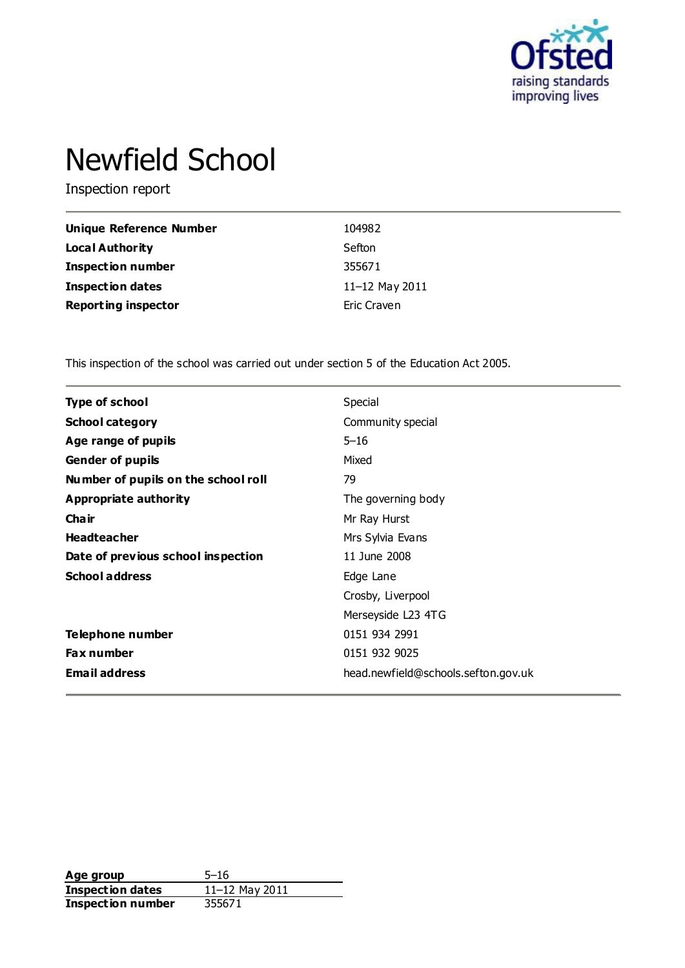

# Newfield School

Inspection report

| <b>Unique Reference Number</b> | 104982         |
|--------------------------------|----------------|
| Local Authority                | Sefton         |
| <b>Inspection number</b>       | 355671         |
| <b>Inspection dates</b>        | 11-12 May 2011 |
| <b>Reporting inspector</b>     | Eric Craven    |

This inspection of the school was carried out under section 5 of the Education Act 2005.

| <b>Type of school</b>               | Special                             |
|-------------------------------------|-------------------------------------|
| <b>School category</b>              | Community special                   |
| Age range of pupils                 | $5 - 16$                            |
| <b>Gender of pupils</b>             | Mixed                               |
| Number of pupils on the school roll | 79                                  |
| Appropriate authority               | The governing body                  |
| Cha ir                              | Mr Ray Hurst                        |
| <b>Headteacher</b>                  | Mrs Sylvia Evans                    |
| Date of previous school inspection  | 11 June 2008                        |
| <b>School address</b>               | Edge Lane                           |
|                                     | Crosby, Liverpool                   |
|                                     | Merseyside L23 4TG                  |
| Telephone number                    | 0151 934 2991                       |
| <b>Fax number</b>                   | 0151 932 9025                       |
| <b>Email address</b>                | head.newfield@schools.sefton.gov.uk |

**Age group** 5-16<br> **Inspection dates** 11-12 May 2011 **Inspection dates** 11–12 May 2011 **Inspection number** 355671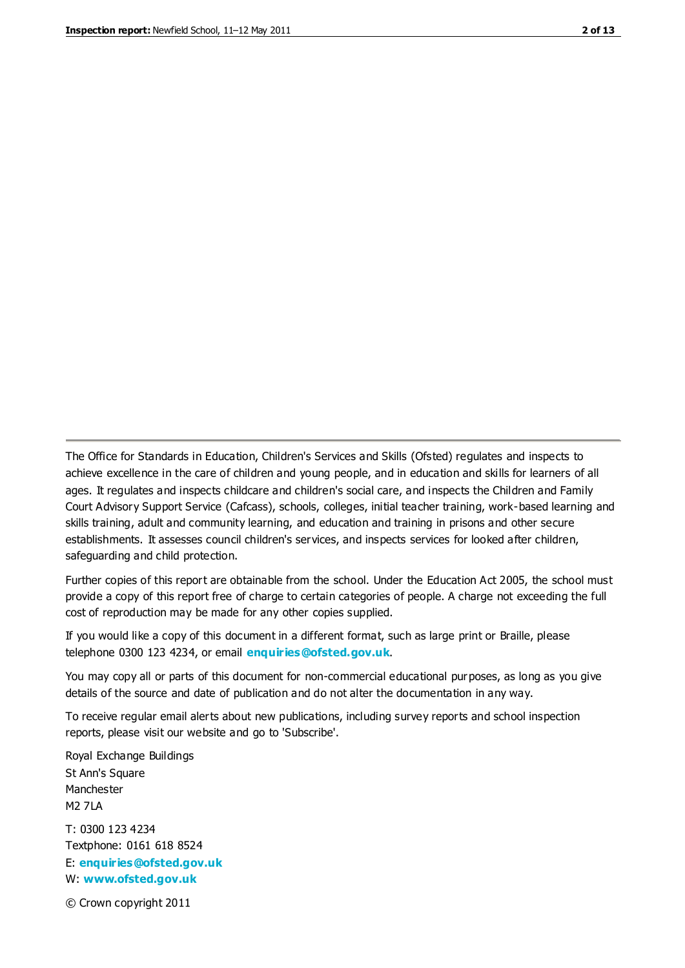The Office for Standards in Education, Children's Services and Skills (Ofsted) regulates and inspects to achieve excellence in the care of children and young people, and in education and skills for learners of all ages. It regulates and inspects childcare and children's social care, and inspects the Children and Family Court Advisory Support Service (Cafcass), schools, colleges, initial teacher training, work-based learning and skills training, adult and community learning, and education and training in prisons and other secure establishments. It assesses council children's services, and inspects services for looked after children, safeguarding and child protection.

Further copies of this report are obtainable from the school. Under the Education Act 2005, the school must provide a copy of this report free of charge to certain categories of people. A charge not exceeding the full cost of reproduction may be made for any other copies supplied.

If you would like a copy of this document in a different format, such as large print or Braille, please telephone 0300 123 4234, or email **[enquiries@ofsted.gov.uk](mailto:enquiries@ofsted.gov.uk)**.

You may copy all or parts of this document for non-commercial educational purposes, as long as you give details of the source and date of publication and do not alter the documentation in any way.

To receive regular email alerts about new publications, including survey reports and school inspection reports, please visit our website and go to 'Subscribe'.

Royal Exchange Buildings St Ann's Square Manchester M2 7LA T: 0300 123 4234 Textphone: 0161 618 8524 E: **[enquiries@ofsted.gov.uk](mailto:enquiries@ofsted.gov.uk)**

W: **[www.ofsted.gov.uk](http://www.ofsted.gov.uk/)**

© Crown copyright 2011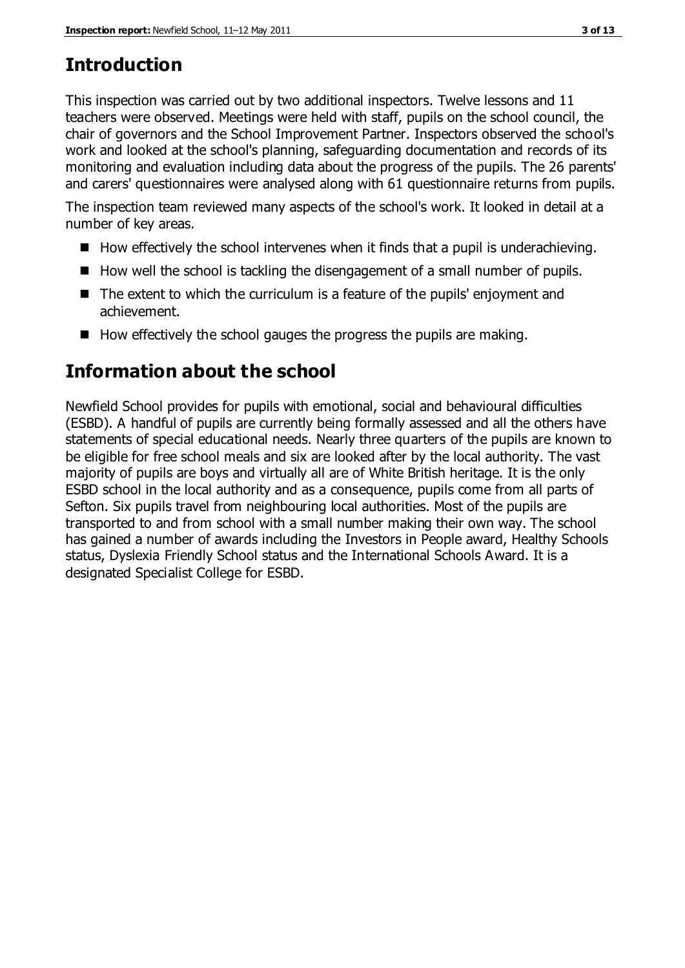# **Introduction**

This inspection was carried out by two additional inspectors. Twelve lessons and 11 teachers were observed. Meetings were held with staff, pupils on the school council, the chair of governors and the School Improvement Partner. Inspectors observed the school's work and looked at the school's planning, safeguarding documentation and records of its monitoring and evaluation including data about the progress of the pupils. The 26 parents' and carers' questionnaires were analysed along with 61 questionnaire returns from pupils.

The inspection team reviewed many aspects of the school's work. It looked in detail at a number of key areas.

- $\blacksquare$  How effectively the school intervenes when it finds that a pupil is underachieving.
- $\blacksquare$  How well the school is tackling the disengagement of a small number of pupils.
- The extent to which the curriculum is a feature of the pupils' enjoyment and achievement.
- $\blacksquare$  How effectively the school gauges the progress the pupils are making.

# **Information about the school**

Newfield School provides for pupils with emotional, social and behavioural difficulties (ESBD). A handful of pupils are currently being formally assessed and all the others have statements of special educational needs. Nearly three quarters of the pupils are known to be eligible for free school meals and six are looked after by the local authority. The vast majority of pupils are boys and virtually all are of White British heritage. It is the only ESBD school in the local authority and as a consequence, pupils come from all parts of Sefton. Six pupils travel from neighbouring local authorities. Most of the pupils are transported to and from school with a small number making their own way. The school has gained a number of awards including the Investors in People award, Healthy Schools status, Dyslexia Friendly School status and the International Schools Award. It is a designated Specialist College for ESBD.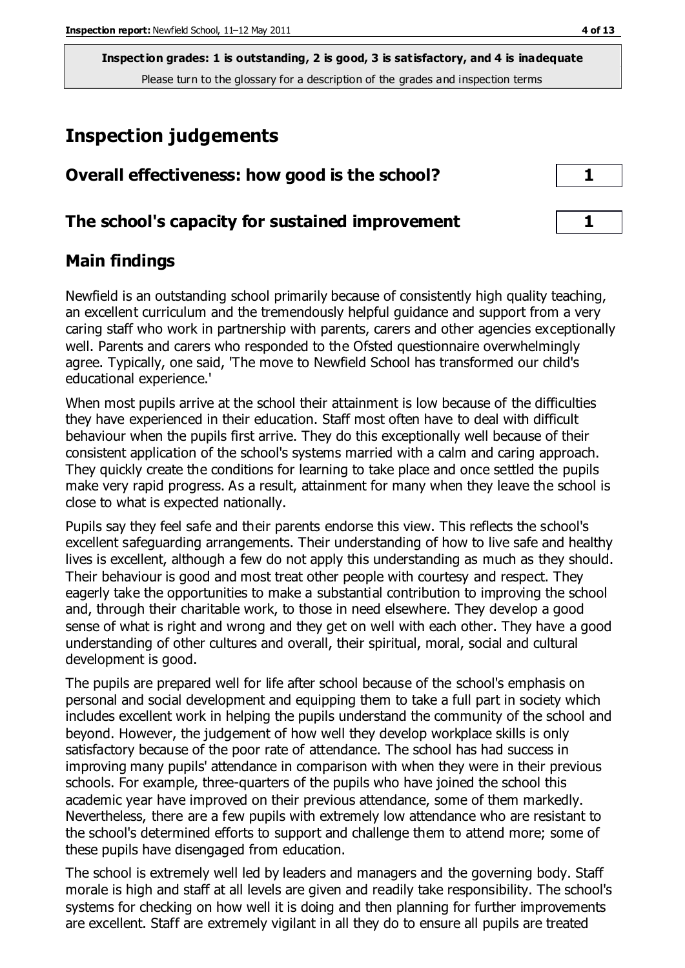# **Inspection judgements**

| Overall effectiveness: how good is the school?  |  |
|-------------------------------------------------|--|
| The school's capacity for sustained improvement |  |

### **Main findings**

Newfield is an outstanding school primarily because of consistently high quality teaching, an excellent curriculum and the tremendously helpful guidance and support from a very caring staff who work in partnership with parents, carers and other agencies exceptionally well. Parents and carers who responded to the Ofsted questionnaire overwhelmingly agree. Typically, one said, 'The move to Newfield School has transformed our child's educational experience.'

When most pupils arrive at the school their attainment is low because of the difficulties they have experienced in their education. Staff most often have to deal with difficult behaviour when the pupils first arrive. They do this exceptionally well because of their consistent application of the school's systems married with a calm and caring approach. They quickly create the conditions for learning to take place and once settled the pupils make very rapid progress. As a result, attainment for many when they leave the school is close to what is expected nationally.

Pupils say they feel safe and their parents endorse this view. This reflects the school's excellent safeguarding arrangements. Their understanding of how to live safe and healthy lives is excellent, although a few do not apply this understanding as much as they should. Their behaviour is good and most treat other people with courtesy and respect. They eagerly take the opportunities to make a substantial contribution to improving the school and, through their charitable work, to those in need elsewhere. They develop a good sense of what is right and wrong and they get on well with each other. They have a good understanding of other cultures and overall, their spiritual, moral, social and cultural development is good.

The pupils are prepared well for life after school because of the school's emphasis on personal and social development and equipping them to take a full part in society which includes excellent work in helping the pupils understand the community of the school and beyond. However, the judgement of how well they develop workplace skills is only satisfactory because of the poor rate of attendance. The school has had success in improving many pupils' attendance in comparison with when they were in their previous schools. For example, three-quarters of the pupils who have joined the school this academic year have improved on their previous attendance, some of them markedly. Nevertheless, there are a few pupils with extremely low attendance who are resistant to the school's determined efforts to support and challenge them to attend more; some of these pupils have disengaged from education.

The school is extremely well led by leaders and managers and the governing body. Staff morale is high and staff at all levels are given and readily take responsibility. The school's systems for checking on how well it is doing and then planning for further improvements are excellent. Staff are extremely vigilant in all they do to ensure all pupils are treated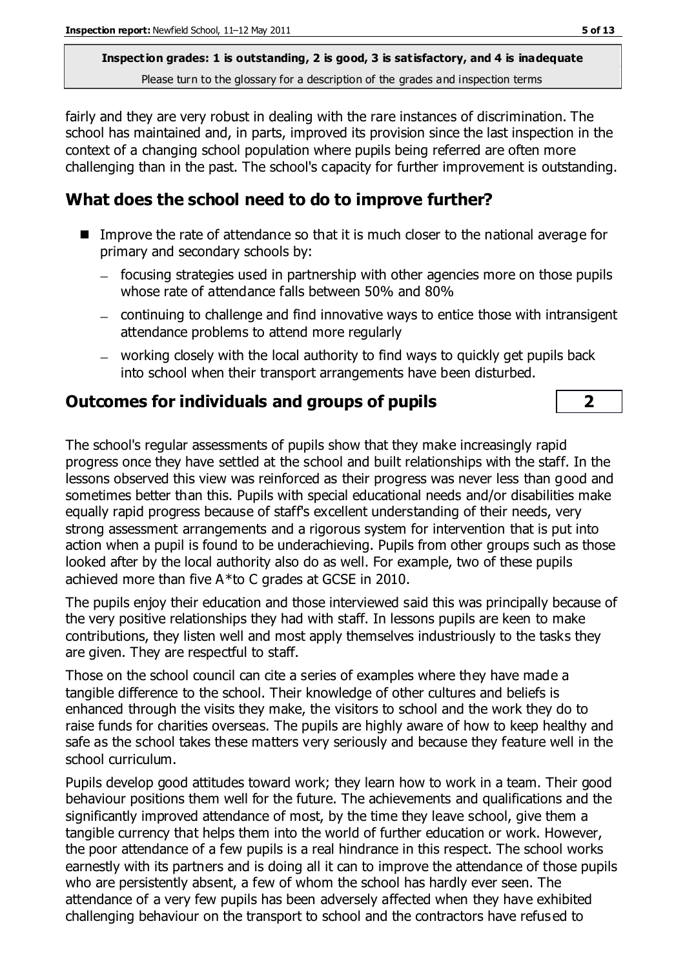fairly and they are very robust in dealing with the rare instances of discrimination. The school has maintained and, in parts, improved its provision since the last inspection in the context of a changing school population where pupils being referred are often more challenging than in the past. The school's capacity for further improvement is outstanding.

# **What does the school need to do to improve further?**

- Improve the rate of attendance so that it is much closer to the national average for primary and secondary schools by:
	- focusing strategies used in partnership with other agencies more on those pupils whose rate of attendance falls between 50% and 80%
	- continuing to challenge and find innovative ways to entice those with intransigent attendance problems to attend more regularly
	- working closely with the local authority to find ways to quickly get pupils back into school when their transport arrangements have been disturbed.

### **Outcomes for individuals and groups of pupils 2**

The school's regular assessments of pupils show that they make increasingly rapid progress once they have settled at the school and built relationships with the staff. In the lessons observed this view was reinforced as their progress was never less than good and sometimes better than this. Pupils with special educational needs and/or disabilities make equally rapid progress because of staff's excellent understanding of their needs, very strong assessment arrangements and a rigorous system for intervention that is put into action when a pupil is found to be underachieving. Pupils from other groups such as those looked after by the local authority also do as well. For example, two of these pupils achieved more than five A\*to C grades at GCSE in 2010.

The pupils enjoy their education and those interviewed said this was principally because of the very positive relationships they had with staff. In lessons pupils are keen to make contributions, they listen well and most apply themselves industriously to the tasks they are given. They are respectful to staff.

Those on the school council can cite a series of examples where they have made a tangible difference to the school. Their knowledge of other cultures and beliefs is enhanced through the visits they make, the visitors to school and the work they do to raise funds for charities overseas. The pupils are highly aware of how to keep healthy and safe as the school takes these matters very seriously and because they feature well in the school curriculum.

Pupils develop good attitudes toward work; they learn how to work in a team. Their good behaviour positions them well for the future. The achievements and qualifications and the significantly improved attendance of most, by the time they leave school, give them a tangible currency that helps them into the world of further education or work. However, the poor attendance of a few pupils is a real hindrance in this respect. The school works earnestly with its partners and is doing all it can to improve the attendance of those pupils who are persistently absent, a few of whom the school has hardly ever seen. The attendance of a very few pupils has been adversely affected when they have exhibited challenging behaviour on the transport to school and the contractors have refus ed to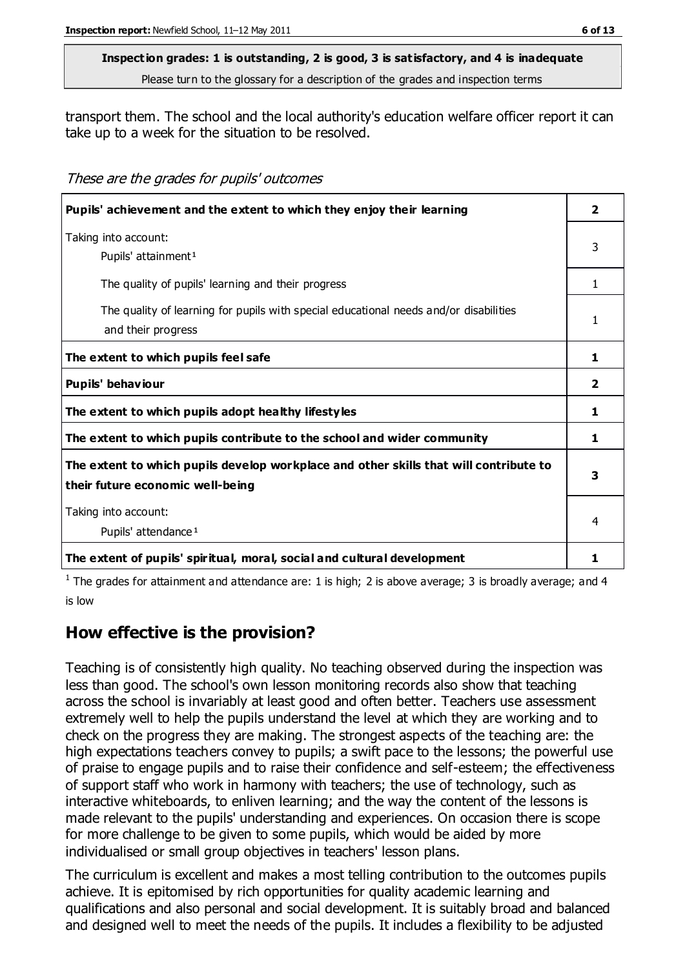transport them. The school and the local authority's education welfare officer report it can take up to a week for the situation to be resolved.

These are the grades for pupils' outcomes

| Pupils' achievement and the extent to which they enjoy their learning                                                     |                         |  |
|---------------------------------------------------------------------------------------------------------------------------|-------------------------|--|
| Taking into account:<br>Pupils' attainment <sup>1</sup>                                                                   | 3                       |  |
| The quality of pupils' learning and their progress                                                                        | 1                       |  |
| The quality of learning for pupils with special educational needs and/or disabilities<br>and their progress               | 1                       |  |
| The extent to which pupils feel safe                                                                                      | 1                       |  |
| Pupils' behaviour                                                                                                         | $\overline{\mathbf{2}}$ |  |
| The extent to which pupils adopt healthy lifestyles                                                                       | 1                       |  |
| The extent to which pupils contribute to the school and wider community                                                   | 1                       |  |
| The extent to which pupils develop workplace and other skills that will contribute to<br>their future economic well-being | 3                       |  |
| Taking into account:<br>Pupils' attendance <sup>1</sup>                                                                   |                         |  |
| The extent of pupils' spiritual, moral, social and cultural development                                                   |                         |  |

<sup>1</sup> The grades for attainment and attendance are: 1 is high; 2 is above average; 3 is broadly average; and 4 is low

### **How effective is the provision?**

Teaching is of consistently high quality. No teaching observed during the inspection was less than good. The school's own lesson monitoring records also show that teaching across the school is invariably at least good and often better. Teachers use assessment extremely well to help the pupils understand the level at which they are working and to check on the progress they are making. The strongest aspects of the teaching are: the high expectations teachers convey to pupils; a swift pace to the lessons; the powerful use of praise to engage pupils and to raise their confidence and self-esteem; the effectiveness of support staff who work in harmony with teachers; the use of technology, such as interactive whiteboards, to enliven learning; and the way the content of the lessons is made relevant to the pupils' understanding and experiences. On occasion there is scope for more challenge to be given to some pupils, which would be aided by more individualised or small group objectives in teachers' lesson plans.

The curriculum is excellent and makes a most telling contribution to the outcomes pupils achieve. It is epitomised by rich opportunities for quality academic learning and qualifications and also personal and social development. It is suitably broad and balanced and designed well to meet the needs of the pupils. It includes a flexibility to be adjusted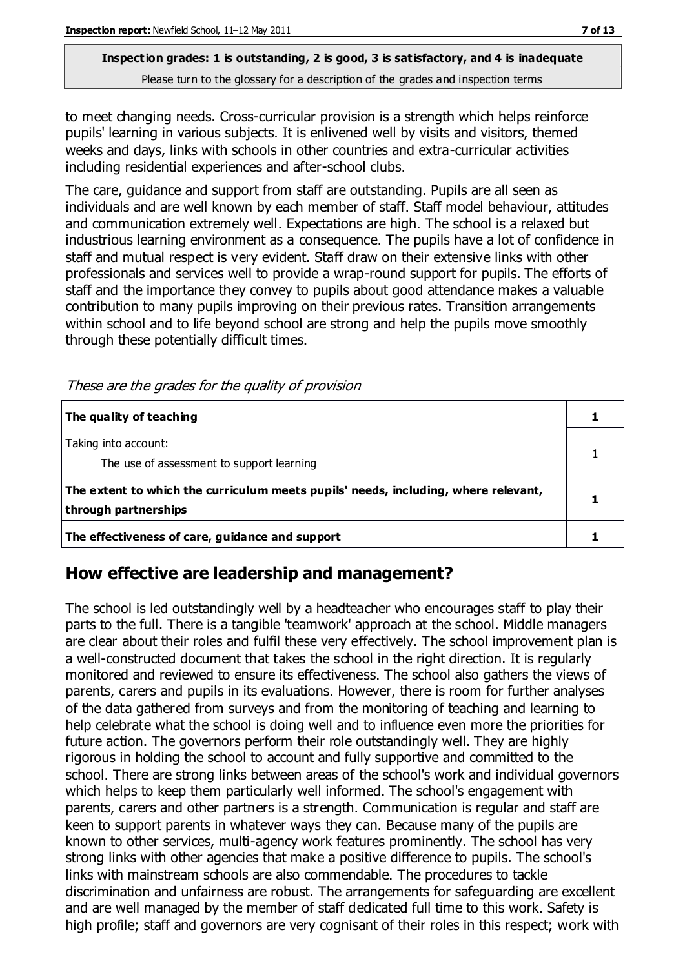to meet changing needs. Cross-curricular provision is a strength which helps reinforce pupils' learning in various subjects. It is enlivened well by visits and visitors, themed weeks and days, links with schools in other countries and extra-curricular activities including residential experiences and after-school clubs.

The care, guidance and support from staff are outstanding. Pupils are all seen as individuals and are well known by each member of staff. Staff model behaviour, attitudes and communication extremely well. Expectations are high. The school is a relaxed but industrious learning environment as a consequence. The pupils have a lot of confidence in staff and mutual respect is very evident. Staff draw on their extensive links with other professionals and services well to provide a wrap-round support for pupils. The efforts of staff and the importance they convey to pupils about good attendance makes a valuable contribution to many pupils improving on their previous rates. Transition arrangements within school and to life beyond school are strong and help the pupils move smoothly through these potentially difficult times.

These are the grades for the quality of provision

| The quality of teaching                                                                                    |  |
|------------------------------------------------------------------------------------------------------------|--|
| Taking into account:<br>The use of assessment to support learning                                          |  |
| The extent to which the curriculum meets pupils' needs, including, where relevant,<br>through partnerships |  |
| The effectiveness of care, guidance and support                                                            |  |

# **How effective are leadership and management?**

The school is led outstandingly well by a headteacher who encourages staff to play their parts to the full. There is a tangible 'teamwork' approach at the school. Middle managers are clear about their roles and fulfil these very effectively. The school improvement plan is a well-constructed document that takes the school in the right direction. It is regularly monitored and reviewed to ensure its effectiveness. The school also gathers the views of parents, carers and pupils in its evaluations. However, there is room for further analyses of the data gathered from surveys and from the monitoring of teaching and learning to help celebrate what the school is doing well and to influence even more the priorities for future action. The governors perform their role outstandingly well. They are highly rigorous in holding the school to account and fully supportive and committed to the school. There are strong links between areas of the school's work and individual governors which helps to keep them particularly well informed. The school's engagement with parents, carers and other partners is a strength. Communication is regular and staff are keen to support parents in whatever ways they can. Because many of the pupils are known to other services, multi-agency work features prominently. The school has very strong links with other agencies that make a positive difference to pupils. The school's links with mainstream schools are also commendable. The procedures to tackle discrimination and unfairness are robust. The arrangements for safeguarding are excellent and are well managed by the member of staff dedicated full time to this work. Safety is high profile; staff and governors are very cognisant of their roles in this respect; work with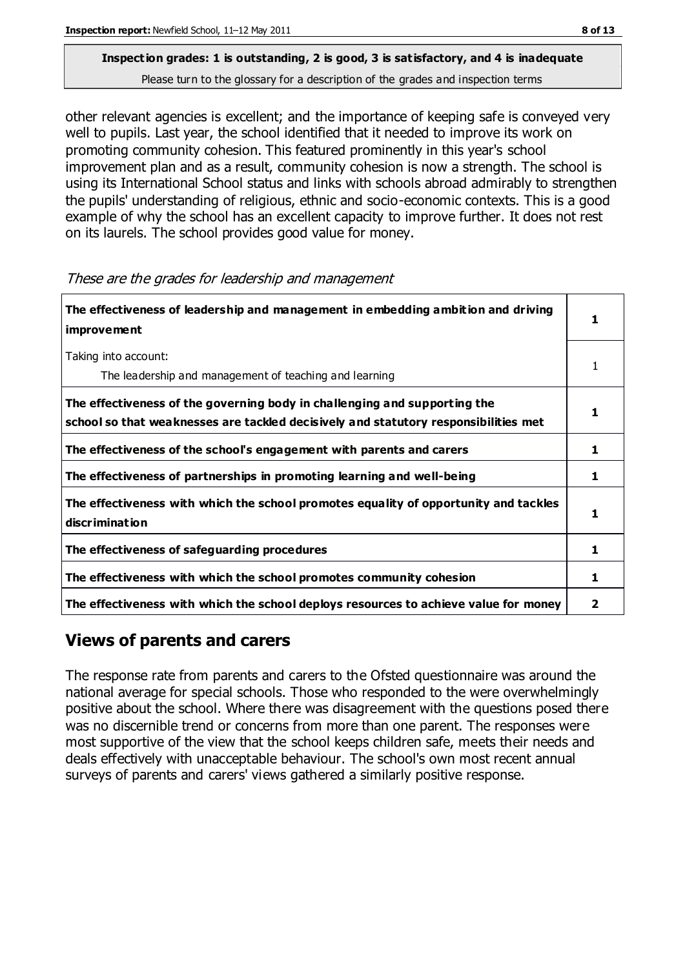# **Inspection grades: 1 is outstanding, 2 is good, 3 is satisfactory, and 4 is inadequate**

Please turn to the glossary for a description of the grades and inspection terms

other relevant agencies is excellent; and the importance of keeping safe is conveyed very well to pupils. Last year, the school identified that it needed to improve its work on promoting community cohesion. This featured prominently in this year's school improvement plan and as a result, community cohesion is now a strength. The school is using its International School status and links with schools abroad admirably to strengthen the pupils' understanding of religious, ethnic and socio-economic contexts. This is a good example of why the school has an excellent capacity to improve further. It does not rest on its laurels. The school provides good value for money.

| The effectiveness of leadership and management in embedding ambition and driving<br>improvement                                                                  |   |
|------------------------------------------------------------------------------------------------------------------------------------------------------------------|---|
| Taking into account:<br>The leadership and management of teaching and learning                                                                                   |   |
| The effectiveness of the governing body in challenging and supporting the<br>school so that weaknesses are tackled decisively and statutory responsibilities met |   |
| The effectiveness of the school's engagement with parents and carers                                                                                             | 1 |
| The effectiveness of partnerships in promoting learning and well-being                                                                                           | 1 |
| The effectiveness with which the school promotes equality of opportunity and tackles<br>discrimination                                                           |   |
| The effectiveness of safeguarding procedures                                                                                                                     | 1 |
| The effectiveness with which the school promotes community cohesion                                                                                              | 1 |
| The effectiveness with which the school deploys resources to achieve value for money                                                                             |   |

#### These are the grades for leadership and management

# **Views of parents and carers**

The response rate from parents and carers to the Ofsted questionnaire was around the national average for special schools. Those who responded to the were overwhelmingly positive about the school. Where there was disagreement with the questions posed there was no discernible trend or concerns from more than one parent. The responses were most supportive of the view that the school keeps children safe, meets their needs and deals effectively with unacceptable behaviour. The school's own most recent annual surveys of parents and carers' views gathered a similarly positive response.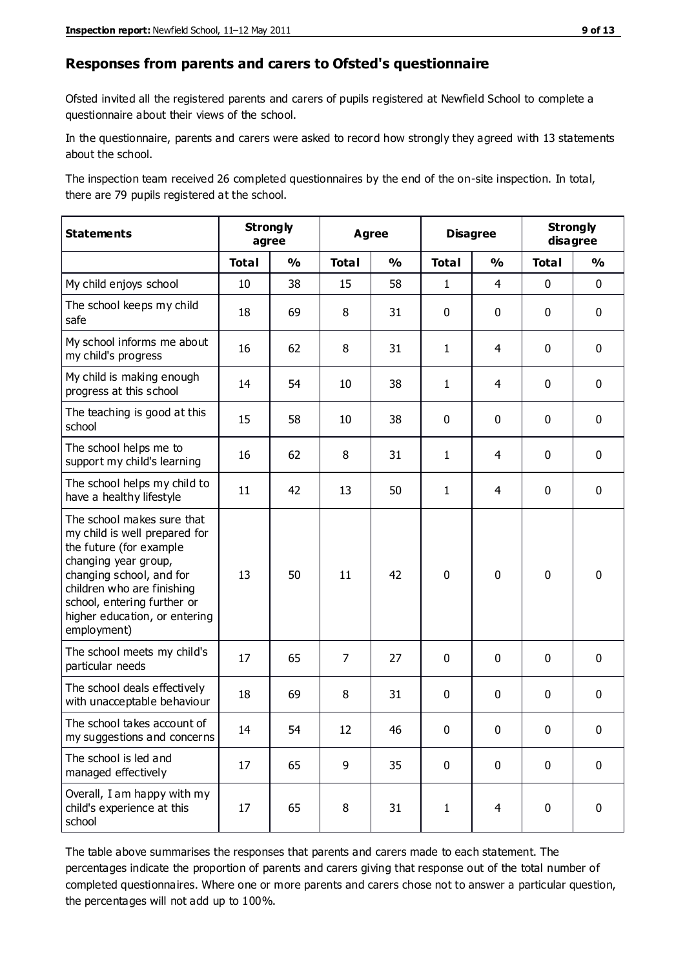#### **Responses from parents and carers to Ofsted's questionnaire**

Ofsted invited all the registered parents and carers of pupils registered at Newfield School to complete a questionnaire about their views of the school.

In the questionnaire, parents and carers were asked to record how strongly they agreed with 13 statements about the school.

The inspection team received 26 completed questionnaires by the end of the on-site inspection. In total, there are 79 pupils registered at the school.

| <b>Statements</b>                                                                                                                                                                                                                                       | <b>Strongly</b><br>agree |               | <b>Agree</b>   |               | <b>Disagree</b> |                | <b>Strongly</b><br>disagree |               |
|---------------------------------------------------------------------------------------------------------------------------------------------------------------------------------------------------------------------------------------------------------|--------------------------|---------------|----------------|---------------|-----------------|----------------|-----------------------------|---------------|
|                                                                                                                                                                                                                                                         | <b>Total</b>             | $\frac{0}{0}$ | <b>Total</b>   | $\frac{0}{0}$ | <b>Total</b>    | $\frac{0}{0}$  | <b>Total</b>                | $\frac{0}{0}$ |
| My child enjoys school                                                                                                                                                                                                                                  | 10                       | 38            | 15             | 58            | 1               | $\overline{4}$ | $\mathbf 0$                 | $\mathbf 0$   |
| The school keeps my child<br>safe                                                                                                                                                                                                                       | 18                       | 69            | 8              | 31            | 0               | 0              | $\mathbf 0$                 | $\mathbf 0$   |
| My school informs me about<br>my child's progress                                                                                                                                                                                                       | 16                       | 62            | 8              | 31            | 1               | 4              | $\mathbf 0$                 | $\mathbf 0$   |
| My child is making enough<br>progress at this school                                                                                                                                                                                                    | 14                       | 54            | 10             | 38            | 1               | 4              | $\mathbf 0$                 | $\mathbf 0$   |
| The teaching is good at this<br>school                                                                                                                                                                                                                  | 15                       | 58            | 10             | 38            | 0               | 0              | $\mathbf{0}$                | $\mathbf 0$   |
| The school helps me to<br>support my child's learning                                                                                                                                                                                                   | 16                       | 62            | 8              | 31            | 1               | 4              | $\mathbf 0$                 | $\mathbf 0$   |
| The school helps my child to<br>have a healthy lifestyle                                                                                                                                                                                                | 11                       | 42            | 13             | 50            | 1               | 4              | 0                           | $\mathbf 0$   |
| The school makes sure that<br>my child is well prepared for<br>the future (for example<br>changing year group,<br>changing school, and for<br>children who are finishing<br>school, entering further or<br>higher education, or entering<br>employment) | 13                       | 50            | 11             | 42            | $\mathbf 0$     | $\mathbf 0$    | $\mathbf 0$                 | $\mathbf 0$   |
| The school meets my child's<br>particular needs                                                                                                                                                                                                         | 17                       | 65            | $\overline{7}$ | 27            | 0               | 0              | $\mathbf 0$                 | $\mathbf 0$   |
| The school deals effectively<br>with unacceptable behaviour                                                                                                                                                                                             | 18                       | 69            | 8              | 31            | 0               | 0              | $\mathbf 0$                 | $\mathbf 0$   |
| The school takes account of<br>my suggestions and concerns                                                                                                                                                                                              | 14                       | 54            | 12             | 46            | 0               | 0              | 0                           | 0             |
| The school is led and<br>managed effectively                                                                                                                                                                                                            | 17                       | 65            | 9              | 35            | $\pmb{0}$       | $\mathbf 0$    | $\mathbf 0$                 | $\mathbf 0$   |
| Overall, I am happy with my<br>child's experience at this<br>school                                                                                                                                                                                     | 17                       | 65            | 8              | 31            | 1               | $\overline{4}$ | $\pmb{0}$                   | $\pmb{0}$     |

The table above summarises the responses that parents and carers made to each statement. The percentages indicate the proportion of parents and carers giving that response out of the total number of completed questionnaires. Where one or more parents and carers chose not to answer a particular question, the percentages will not add up to 100%.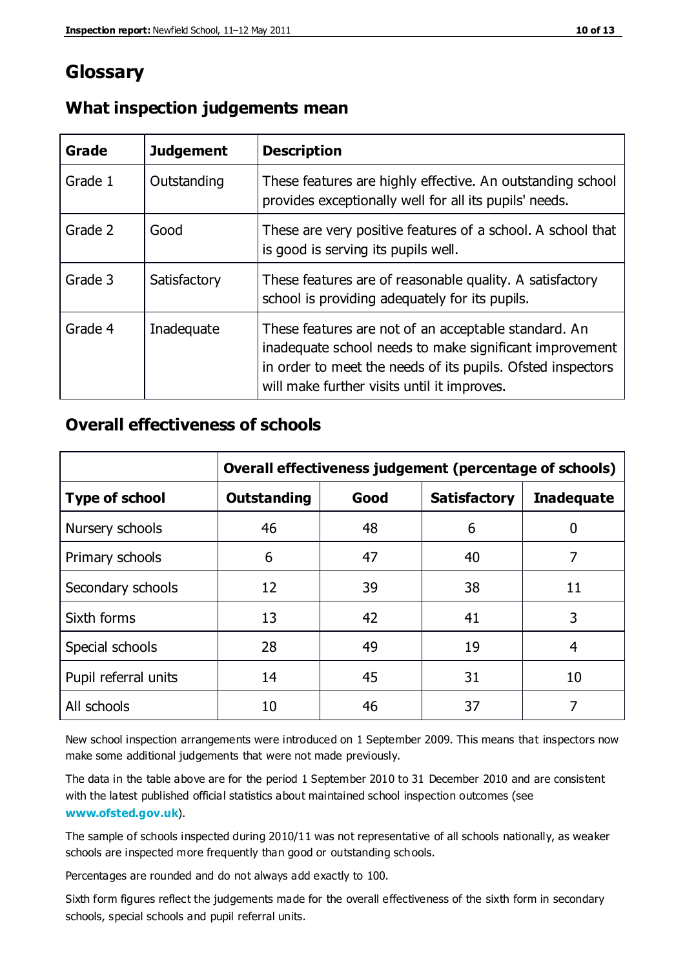# **Glossary**

| Grade   | <b>Judgement</b> | <b>Description</b>                                                                                                                                                                                                            |
|---------|------------------|-------------------------------------------------------------------------------------------------------------------------------------------------------------------------------------------------------------------------------|
| Grade 1 | Outstanding      | These features are highly effective. An outstanding school<br>provides exceptionally well for all its pupils' needs.                                                                                                          |
| Grade 2 | Good             | These are very positive features of a school. A school that<br>is good is serving its pupils well.                                                                                                                            |
| Grade 3 | Satisfactory     | These features are of reasonable quality. A satisfactory<br>school is providing adequately for its pupils.                                                                                                                    |
| Grade 4 | Inadequate       | These features are not of an acceptable standard. An<br>inadequate school needs to make significant improvement<br>in order to meet the needs of its pupils. Ofsted inspectors<br>will make further visits until it improves. |

### **What inspection judgements mean**

### **Overall effectiveness of schools**

|                       | Overall effectiveness judgement (percentage of schools) |      |                     |                   |  |
|-----------------------|---------------------------------------------------------|------|---------------------|-------------------|--|
| <b>Type of school</b> | <b>Outstanding</b>                                      | Good | <b>Satisfactory</b> | <b>Inadequate</b> |  |
| Nursery schools       | 46                                                      | 48   | 6                   |                   |  |
| Primary schools       | 6                                                       | 47   | 40                  | 7                 |  |
| Secondary schools     | 12                                                      | 39   | 38                  | 11                |  |
| Sixth forms           | 13                                                      | 42   | 41                  | 3                 |  |
| Special schools       | 28                                                      | 49   | 19                  | 4                 |  |
| Pupil referral units  | 14                                                      | 45   | 31                  | 10                |  |
| All schools           | 10                                                      | 46   | 37                  |                   |  |

New school inspection arrangements were introduced on 1 September 2009. This means that inspectors now make some additional judgements that were not made previously.

The data in the table above are for the period 1 September 2010 to 31 December 2010 and are consistent with the latest published official statistics about maintained school inspection outcomes (see **[www.ofsted.gov.uk](http://www.ofsted.gov.uk/)**).

The sample of schools inspected during 2010/11 was not representative of all schools nationally, as weaker schools are inspected more frequently than good or outstanding schools.

Percentages are rounded and do not always add exactly to 100.

Sixth form figures reflect the judgements made for the overall effectiveness of the sixth form in secondary schools, special schools and pupil referral units.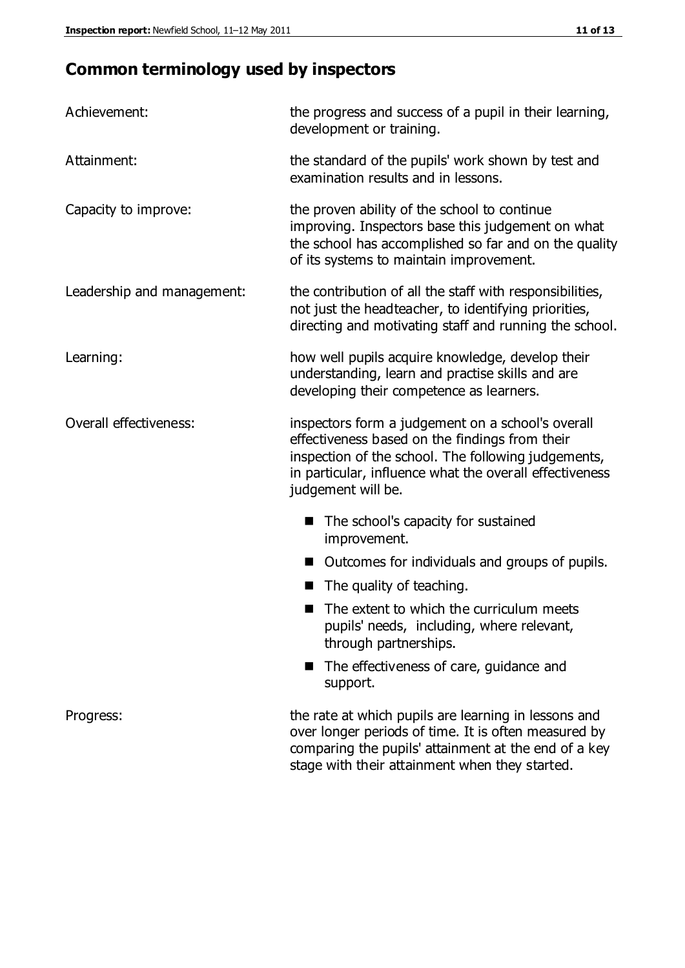# **Common terminology used by inspectors**

| Achievement:               | the progress and success of a pupil in their learning,<br>development or training.                                                                                                                                                          |  |  |
|----------------------------|---------------------------------------------------------------------------------------------------------------------------------------------------------------------------------------------------------------------------------------------|--|--|
| Attainment:                | the standard of the pupils' work shown by test and<br>examination results and in lessons.                                                                                                                                                   |  |  |
| Capacity to improve:       | the proven ability of the school to continue<br>improving. Inspectors base this judgement on what<br>the school has accomplished so far and on the quality<br>of its systems to maintain improvement.                                       |  |  |
| Leadership and management: | the contribution of all the staff with responsibilities,<br>not just the headteacher, to identifying priorities,<br>directing and motivating staff and running the school.                                                                  |  |  |
| Learning:                  | how well pupils acquire knowledge, develop their<br>understanding, learn and practise skills and are<br>developing their competence as learners.                                                                                            |  |  |
| Overall effectiveness:     | inspectors form a judgement on a school's overall<br>effectiveness based on the findings from their<br>inspection of the school. The following judgements,<br>in particular, influence what the overall effectiveness<br>judgement will be. |  |  |
|                            | The school's capacity for sustained<br>improvement.                                                                                                                                                                                         |  |  |
|                            | Outcomes for individuals and groups of pupils.                                                                                                                                                                                              |  |  |
|                            | The quality of teaching.                                                                                                                                                                                                                    |  |  |
|                            | The extent to which the curriculum meets<br>pupils' needs, including, where relevant,<br>through partnerships.                                                                                                                              |  |  |
|                            | The effectiveness of care, guidance and<br>support.                                                                                                                                                                                         |  |  |
| Progress:                  | the rate at which pupils are learning in lessons and<br>over longer periods of time. It is often measured by<br>comparing the pupils' attainment at the end of a key                                                                        |  |  |

stage with their attainment when they started.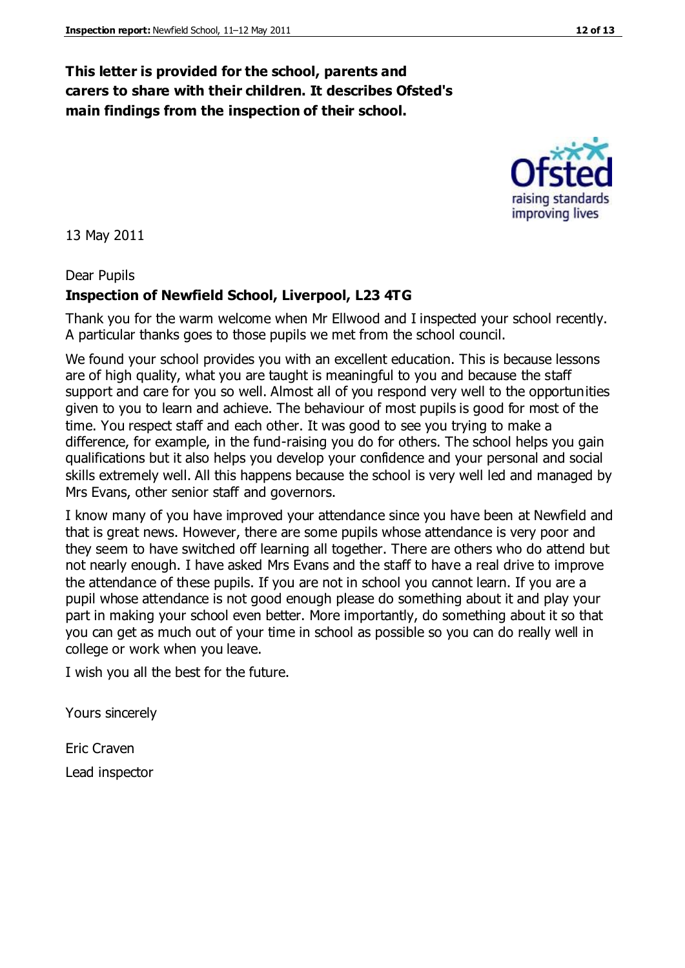### **This letter is provided for the school, parents and carers to share with their children. It describes Ofsted's main findings from the inspection of their school.**

13 May 2011

#### Dear Pupils

### **Inspection of Newfield School, Liverpool, L23 4TG**

Thank you for the warm welcome when Mr Ellwood and I inspected your school recently. A particular thanks goes to those pupils we met from the school council.

We found your school provides you with an excellent education. This is because lessons are of high quality, what you are taught is meaningful to you and because the staff support and care for you so well. Almost all of you respond very well to the opportunities given to you to learn and achieve. The behaviour of most pupils is good for most of the time. You respect staff and each other. It was good to see you trying to make a difference, for example, in the fund-raising you do for others. The school helps you gain qualifications but it also helps you develop your confidence and your personal and social skills extremely well. All this happens because the school is very well led and managed by Mrs Evans, other senior staff and governors.

I know many of you have improved your attendance since you have been at Newfield and that is great news. However, there are some pupils whose attendance is very poor and they seem to have switched off learning all together. There are others who do attend but not nearly enough. I have asked Mrs Evans and the staff to have a real drive to improve the attendance of these pupils. If you are not in school you cannot learn. If you are a pupil whose attendance is not good enough please do something about it and play your part in making your school even better. More importantly, do something about it so that you can get as much out of your time in school as possible so you can do really well in college or work when you leave.

I wish you all the best for the future.

Yours sincerely

Eric Craven Lead inspector